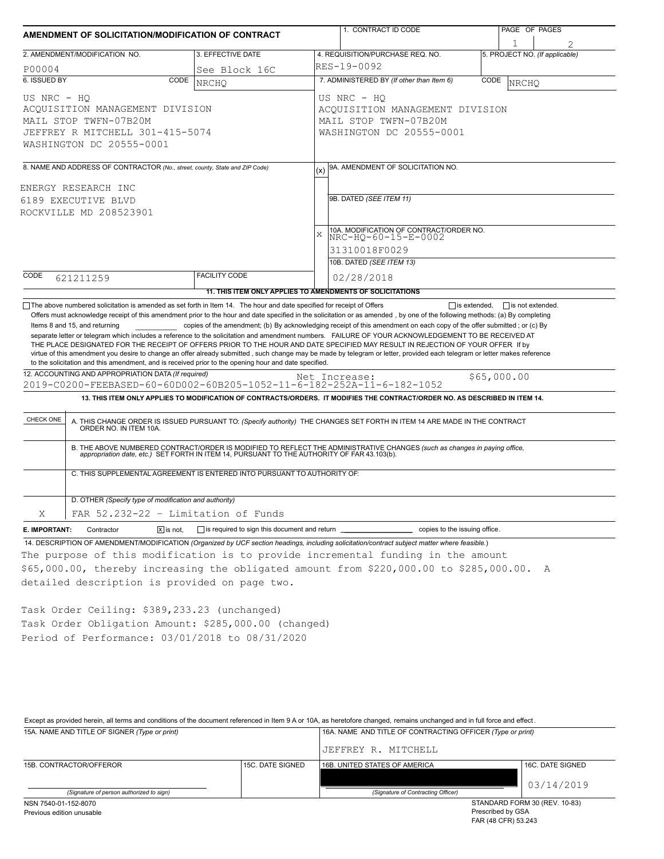| AMENDMENT OF SOLICITATION/MODIFICATION OF CONTRACT                                                                                                                                                                                                                                                                                                                                                                              |                                                           | 1. CONTRACT ID CODE |                                                                                                                                                                                                                                                                                 | PAGE OF PAGES |                                |  |
|---------------------------------------------------------------------------------------------------------------------------------------------------------------------------------------------------------------------------------------------------------------------------------------------------------------------------------------------------------------------------------------------------------------------------------|-----------------------------------------------------------|---------------------|---------------------------------------------------------------------------------------------------------------------------------------------------------------------------------------------------------------------------------------------------------------------------------|---------------|--------------------------------|--|
|                                                                                                                                                                                                                                                                                                                                                                                                                                 |                                                           |                     |                                                                                                                                                                                                                                                                                 |               | 1                              |  |
| 2. AMENDMENT/MODIFICATION NO.                                                                                                                                                                                                                                                                                                                                                                                                   | 3. EFFECTIVE DATE                                         |                     | 4. REQUISITION/PURCHASE REQ. NO.                                                                                                                                                                                                                                                |               | 5. PROJECT NO. (If applicable) |  |
| P00004                                                                                                                                                                                                                                                                                                                                                                                                                          | See Block 16C                                             |                     | RES-19-0092                                                                                                                                                                                                                                                                     |               |                                |  |
| 6. ISSUED BY<br>CODE                                                                                                                                                                                                                                                                                                                                                                                                            | <b>NRCHO</b>                                              |                     | 7. ADMINISTERED BY (If other than Item 6)                                                                                                                                                                                                                                       | CODE          | NRCHO                          |  |
| US NRC - HO<br>ACQUISITION MANAGEMENT DIVISION<br>MAIL STOP TWFN-07B20M<br>JEFFREY R MITCHELL 301-415-5074<br>WASHINGTON DC 20555-0001                                                                                                                                                                                                                                                                                          |                                                           |                     | US NRC - HQ<br>ACQUISITION MANAGEMENT DIVISION<br>MAIL STOP TWFN-07B20M<br>WASHINGTON DC 20555-0001                                                                                                                                                                             |               |                                |  |
| 8. NAME AND ADDRESS OF CONTRACTOR (No., street, county, State and ZIP Code)                                                                                                                                                                                                                                                                                                                                                     |                                                           | (x)                 | 9A. AMENDMENT OF SOLICITATION NO.                                                                                                                                                                                                                                               |               |                                |  |
|                                                                                                                                                                                                                                                                                                                                                                                                                                 |                                                           |                     |                                                                                                                                                                                                                                                                                 |               |                                |  |
| ENERGY RESEARCH INC                                                                                                                                                                                                                                                                                                                                                                                                             |                                                           |                     | 9B. DATED (SEE ITEM 11)                                                                                                                                                                                                                                                         |               |                                |  |
| 6189 EXECUTIVE BLVD                                                                                                                                                                                                                                                                                                                                                                                                             |                                                           |                     |                                                                                                                                                                                                                                                                                 |               |                                |  |
| ROCKVILLE MD 208523901                                                                                                                                                                                                                                                                                                                                                                                                          |                                                           |                     |                                                                                                                                                                                                                                                                                 |               |                                |  |
|                                                                                                                                                                                                                                                                                                                                                                                                                                 |                                                           | $\bar{X}$           | 10A. MODIFICATION OF CONTRACT/ORDER NO.<br>NRC-HQ-60-15-E-0002                                                                                                                                                                                                                  |               |                                |  |
|                                                                                                                                                                                                                                                                                                                                                                                                                                 |                                                           |                     | 31310018F0029                                                                                                                                                                                                                                                                   |               |                                |  |
|                                                                                                                                                                                                                                                                                                                                                                                                                                 |                                                           |                     | 10B. DATED (SEE ITEM 13)                                                                                                                                                                                                                                                        |               |                                |  |
| CODE<br>621211259                                                                                                                                                                                                                                                                                                                                                                                                               | <b>FACILITY CODE</b>                                      |                     | 02/28/2018                                                                                                                                                                                                                                                                      |               |                                |  |
|                                                                                                                                                                                                                                                                                                                                                                                                                                 | 11. THIS ITEM ONLY APPLIES TO AMENDMENTS OF SOLICITATIONS |                     |                                                                                                                                                                                                                                                                                 |               |                                |  |
| virtue of this amendment you desire to change an offer already submitted, such change may be made by telegram or letter, provided each telegram or letter makes reference<br>to the solicitation and this amendment, and is received prior to the opening hour and date specified.<br>12. ACCOUNTING AND APPROPRIATION DATA (If required)<br>2019-C0200-FEEBASED-60-60D002-60B205-1052-11-6-182-252A-11-6-182-1052<br>CHECK ONE |                                                           | Net Increase:       | 13. THIS ITEM ONLY APPLIES TO MODIFICATION OF CONTRACTS/ORDERS. IT MODIFIES THE CONTRACT/ORDER NO. AS DESCRIBED IN ITEM 14.<br>A. THIS CHANGE ORDER IS ISSUED PURSUANT TO: (Specify authority) THE CHANGES SET FORTH IN ITEM 14 ARE MADE IN THE CONTRACT ORDER NO. IN ITEM 10A. |               | \$65,000.00                    |  |
| B. THE ABOVE NUMBERED CONTRACT/ORDER IS MODIFIED TO REFLECT THE ADMINISTRATIVE CHANGES (such as changes in paying office, appropriation date, etc.) SET FORTH IN ITEM 14, PURSUANT TO THE AUTHORITY OF FAR 43.103(b).<br>C. THIS SUPPLEMENTAL AGREEMENT IS ENTERED INTO PURSUANT TO AUTHORITY OF:                                                                                                                               |                                                           |                     |                                                                                                                                                                                                                                                                                 |               |                                |  |
| D. OTHER (Specify type of modification and authority)                                                                                                                                                                                                                                                                                                                                                                           |                                                           |                     |                                                                                                                                                                                                                                                                                 |               |                                |  |
| Χ<br>FAR 52.232-22 - Limitation of Funds                                                                                                                                                                                                                                                                                                                                                                                        |                                                           |                     |                                                                                                                                                                                                                                                                                 |               |                                |  |
| E. IMPORTANT:<br>Contractor<br>$\boxed{\mathsf{x}}$ is not.                                                                                                                                                                                                                                                                                                                                                                     |                                                           |                     |                                                                                                                                                                                                                                                                                 |               |                                |  |
| 14. DESCRIPTION OF AMENDMENT/MODIFICATION (Organized by UCF section headings, including solicitation/contract subject matter where feasible.)                                                                                                                                                                                                                                                                                   |                                                           |                     |                                                                                                                                                                                                                                                                                 |               |                                |  |
| The purpose of this modification is to provide incremental funding in the amount                                                                                                                                                                                                                                                                                                                                                |                                                           |                     |                                                                                                                                                                                                                                                                                 |               |                                |  |
| \$65,000.00, thereby increasing the obligated amount from \$220,000.00 to \$285,000.00. A                                                                                                                                                                                                                                                                                                                                       |                                                           |                     |                                                                                                                                                                                                                                                                                 |               |                                |  |
| detailed description is provided on page two.                                                                                                                                                                                                                                                                                                                                                                                   |                                                           |                     |                                                                                                                                                                                                                                                                                 |               |                                |  |
|                                                                                                                                                                                                                                                                                                                                                                                                                                 |                                                           |                     |                                                                                                                                                                                                                                                                                 |               |                                |  |
| Task Order Ceiling: \$389,233.23 (unchanged)                                                                                                                                                                                                                                                                                                                                                                                    |                                                           |                     |                                                                                                                                                                                                                                                                                 |               |                                |  |
| Task Order Obligation Amount: \$285,000.00 (changed)                                                                                                                                                                                                                                                                                                                                                                            |                                                           |                     |                                                                                                                                                                                                                                                                                 |               |                                |  |
| Period of Performance: 03/01/2018 to 08/31/2020                                                                                                                                                                                                                                                                                                                                                                                 |                                                           |                     |                                                                                                                                                                                                                                                                                 |               |                                |  |
|                                                                                                                                                                                                                                                                                                                                                                                                                                 |                                                           |                     |                                                                                                                                                                                                                                                                                 |               |                                |  |

15A. NAME AND TITLE OF SIGNER *(Type or print)* 16A. NAME AND TITLE OF CONTRACTING OFFICER *(Type or print)* Except as provided herein, all terms and conditions of the document referenced in Item 9 A or 10A, as heretofore changed, remains unchanged and in full force and effect .

|                                          |                  | JEFFREY R. MITCHELL                |                               |  |
|------------------------------------------|------------------|------------------------------------|-------------------------------|--|
| 15B. CONTRACTOR/OFFEROR                  | 15C. DATE SIGNED | 16B. UNITED STATES OF AMERICA      | 16C. DATE SIGNED              |  |
|                                          |                  |                                    |                               |  |
|                                          |                  |                                    | 03/14/2019                    |  |
| (Signature of person authorized to sign) |                  | (Signature of Contracting Officer) |                               |  |
| NSN 7540-01-152-8070                     |                  |                                    | STANDARD FORM 30 (REV. 10-83) |  |
| Previous edition unusable                |                  | Prescribed by GSA                  |                               |  |

Prescribed by GSA FAR (48 CFR) 53.243